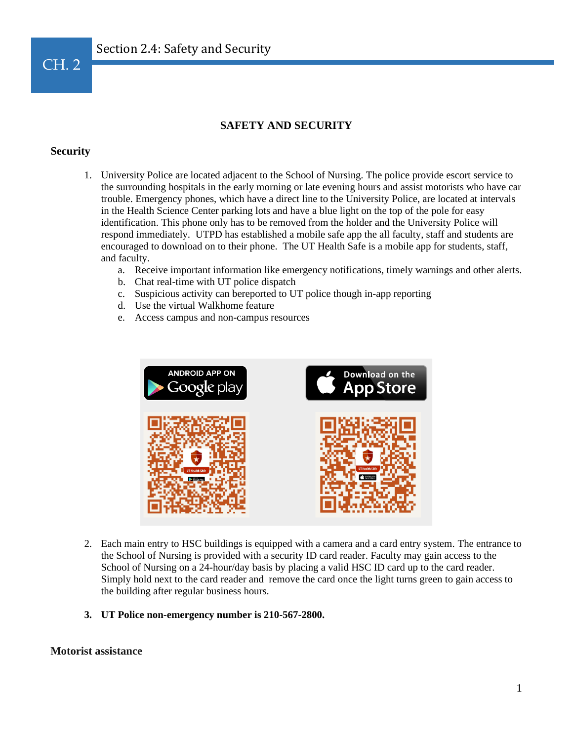

## **SAFETY AND SECURITY**

## **Security**

- 1. University Police are located adjacent to the School of Nursing. The police provide escort service to the surrounding hospitals in the early morning or late evening hours and assist motorists who have car trouble. Emergency phones, which have a direct line to the University Police, are located at intervals in the Health Science Center parking lots and have a blue light on the top of the pole for easy identification. This phone only has to be removed from the holder and the University Police will respond immediately. UTPD has established a mobile safe app the all faculty, staff and students are encouraged to download on to their phone. The UT Health Safe is a mobile app for students, staff, and faculty.
	- a. Receive important information like emergency notifications, timely warnings and other alerts.
	- b. Chat real-time with UT police dispatch
	- c. Suspicious activity can bereported to UT police though in-app reporting
	- d. Use the virtual Walkhome feature
	- e. Access campus and non-campus resources



- 2. Each main entry to HSC buildings is equipped with a camera and a card entry system. The entrance to the School of Nursing is provided with a security ID card reader. Faculty may gain access to the School of Nursing on a 24-hour/day basis by placing a valid HSC ID card up to the card reader. Simply hold next to the card reader and remove the card once the light turns green to gain access to the building after regular business hours.
- **3. UT Police non-emergency number is 210-567-2800.**

## **Motorist assistance**